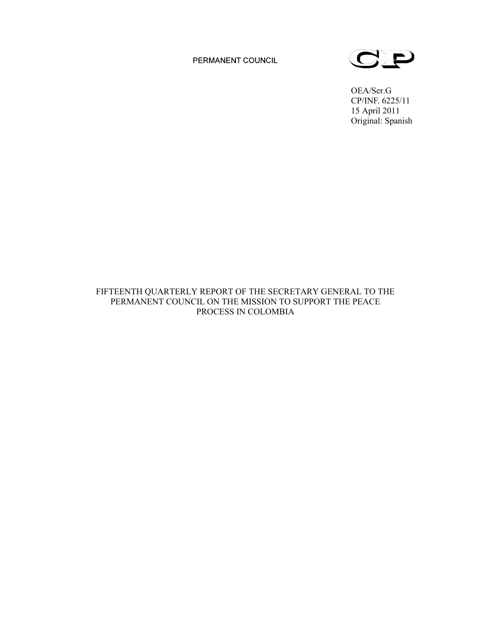PERMANENT COUNCIL



OEA/Ser.G CP/INF. 6225/11 15 April 2011 Original: Spanish

FIFTEENTH QUARTERLY REPORT OF THE SECRETARY GENERAL TO THE PERMANENT COUNCIL ON THE MISSION TO SUPPORT THE PEACE PROCESS IN COLOMBIA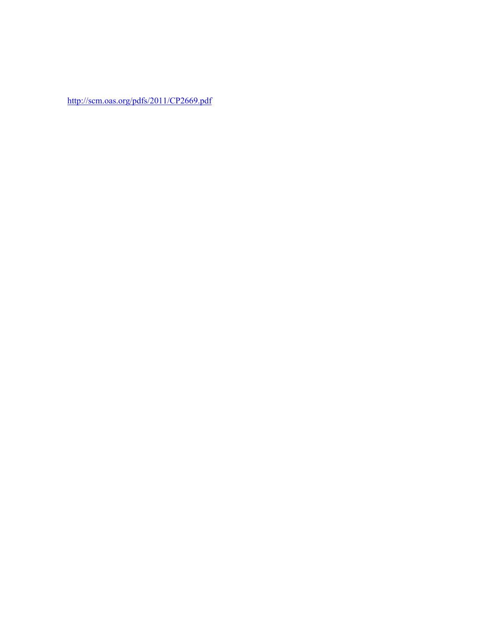http://scm.oas.org/pdfs/2011/CP2669.pdf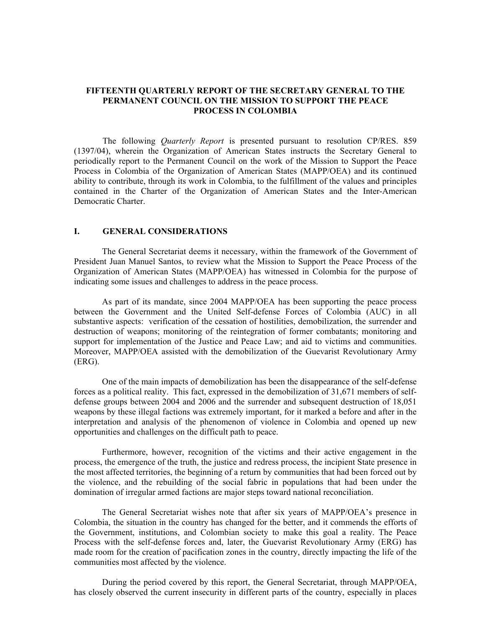# **FIFTEENTH QUARTERLY REPORT OF THE SECRETARY GENERAL TO THE PERMANENT COUNCIL ON THE MISSION TO SUPPORT THE PEACE PROCESS IN COLOMBIA**

The following *Quarterly Report* is presented pursuant to resolution CP/RES. 859 (1397/04), wherein the Organization of American States instructs the Secretary General to periodically report to the Permanent Council on the work of the Mission to Support the Peace Process in Colombia of the Organization of American States (MAPP/OEA) and its continued ability to contribute, through its work in Colombia, to the fulfillment of the values and principles contained in the Charter of the Organization of American States and the Inter-American Democratic Charter.

# **I. GENERAL CONSIDERATIONS**

The General Secretariat deems it necessary, within the framework of the Government of President Juan Manuel Santos, to review what the Mission to Support the Peace Process of the Organization of American States (MAPP/OEA) has witnessed in Colombia for the purpose of indicating some issues and challenges to address in the peace process.

As part of its mandate, since 2004 MAPP/OEA has been supporting the peace process between the Government and the United Self-defense Forces of Colombia (AUC) in all substantive aspects: verification of the cessation of hostilities, demobilization, the surrender and destruction of weapons; monitoring of the reintegration of former combatants; monitoring and support for implementation of the Justice and Peace Law; and aid to victims and communities. Moreover, MAPP/OEA assisted with the demobilization of the Guevarist Revolutionary Army (ERG).

One of the main impacts of demobilization has been the disappearance of the self-defense forces as a political reality. This fact, expressed in the demobilization of 31,671 members of selfdefense groups between 2004 and 2006 and the surrender and subsequent destruction of 18,051 weapons by these illegal factions was extremely important, for it marked a before and after in the interpretation and analysis of the phenomenon of violence in Colombia and opened up new opportunities and challenges on the difficult path to peace.

Furthermore, however, recognition of the victims and their active engagement in the process, the emergence of the truth, the justice and redress process, the incipient State presence in the most affected territories, the beginning of a return by communities that had been forced out by the violence, and the rebuilding of the social fabric in populations that had been under the domination of irregular armed factions are major steps toward national reconciliation.

The General Secretariat wishes note that after six years of MAPP/OEA's presence in Colombia, the situation in the country has changed for the better, and it commends the efforts of the Government, institutions, and Colombian society to make this goal a reality. The Peace Process with the self-defense forces and, later, the Guevarist Revolutionary Army (ERG) has made room for the creation of pacification zones in the country, directly impacting the life of the communities most affected by the violence.

During the period covered by this report, the General Secretariat, through MAPP/OEA, has closely observed the current insecurity in different parts of the country, especially in places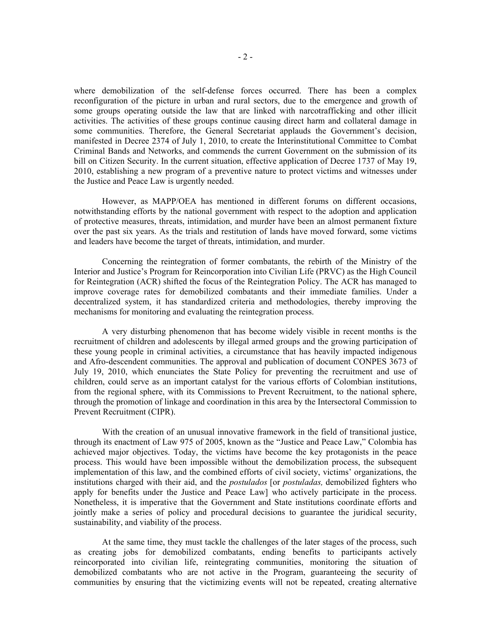where demobilization of the self-defense forces occurred. There has been a complex reconfiguration of the picture in urban and rural sectors, due to the emergence and growth of some groups operating outside the law that are linked with narcotrafficking and other illicit activities. The activities of these groups continue causing direct harm and collateral damage in some communities. Therefore, the General Secretariat applauds the Government's decision, manifested in Decree 2374 of July 1, 2010, to create the Interinstitutional Committee to Combat Criminal Bands and Networks, and commends the current Government on the submission of its bill on Citizen Security. In the current situation, effective application of Decree 1737 of May 19, 2010, establishing a new program of a preventive nature to protect victims and witnesses under the Justice and Peace Law is urgently needed.

However, as MAPP/OEA has mentioned in different forums on different occasions, notwithstanding efforts by the national government with respect to the adoption and application of protective measures, threats, intimidation, and murder have been an almost permanent fixture over the past six years. As the trials and restitution of lands have moved forward, some victims and leaders have become the target of threats, intimidation, and murder.

Concerning the reintegration of former combatants, the rebirth of the Ministry of the Interior and Justice's Program for Reincorporation into Civilian Life (PRVC) as the High Council for Reintegration (ACR) shifted the focus of the Reintegration Policy. The ACR has managed to improve coverage rates for demobilized combatants and their immediate families. Under a decentralized system, it has standardized criteria and methodologies, thereby improving the mechanisms for monitoring and evaluating the reintegration process.

A very disturbing phenomenon that has become widely visible in recent months is the recruitment of children and adolescents by illegal armed groups and the growing participation of these young people in criminal activities, a circumstance that has heavily impacted indigenous and Afro-descendent communities. The approval and publication of document CONPES 3673 of July 19, 2010, which enunciates the State Policy for preventing the recruitment and use of children, could serve as an important catalyst for the various efforts of Colombian institutions, from the regional sphere, with its Commissions to Prevent Recruitment, to the national sphere, through the promotion of linkage and coordination in this area by the Intersectoral Commission to Prevent Recruitment (CIPR).

With the creation of an unusual innovative framework in the field of transitional justice, through its enactment of Law 975 of 2005, known as the "Justice and Peace Law," Colombia has achieved major objectives. Today, the victims have become the key protagonists in the peace process. This would have been impossible without the demobilization process, the subsequent implementation of this law, and the combined efforts of civil society, victims' organizations, the institutions charged with their aid, and the *postulados* [or *postuladas,* demobilized fighters who apply for benefits under the Justice and Peace Law] who actively participate in the process. Nonetheless, it is imperative that the Government and State institutions coordinate efforts and jointly make a series of policy and procedural decisions to guarantee the juridical security, sustainability, and viability of the process.

At the same time, they must tackle the challenges of the later stages of the process, such as creating jobs for demobilized combatants, ending benefits to participants actively reincorporated into civilian life, reintegrating communities, monitoring the situation of demobilized combatants who are not active in the Program, guaranteeing the security of communities by ensuring that the victimizing events will not be repeated, creating alternative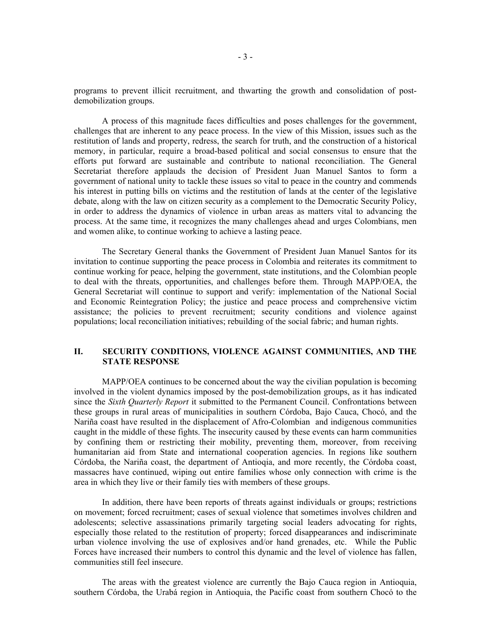programs to prevent illicit recruitment, and thwarting the growth and consolidation of postdemobilization groups.

A process of this magnitude faces difficulties and poses challenges for the government, challenges that are inherent to any peace process. In the view of this Mission, issues such as the restitution of lands and property, redress, the search for truth, and the construction of a historical memory, in particular, require a broad-based political and social consensus to ensure that the efforts put forward are sustainable and contribute to national reconciliation. The General Secretariat therefore applauds the decision of President Juan Manuel Santos to form a government of national unity to tackle these issues so vital to peace in the country and commends his interest in putting bills on victims and the restitution of lands at the center of the legislative debate, along with the law on citizen security as a complement to the Democratic Security Policy, in order to address the dynamics of violence in urban areas as matters vital to advancing the process. At the same time, it recognizes the many challenges ahead and urges Colombians, men and women alike, to continue working to achieve a lasting peace.

The Secretary General thanks the Government of President Juan Manuel Santos for its invitation to continue supporting the peace process in Colombia and reiterates its commitment to continue working for peace, helping the government, state institutions, and the Colombian people to deal with the threats, opportunities, and challenges before them. Through MAPP/OEA, the General Secretariat will continue to support and verify: implementation of the National Social and Economic Reintegration Policy; the justice and peace process and comprehensive victim assistance; the policies to prevent recruitment; security conditions and violence against populations; local reconciliation initiatives; rebuilding of the social fabric; and human rights.

## **II. SECURITY CONDITIONS, VIOLENCE AGAINST COMMUNITIES, AND THE STATE RESPONSE**

MAPP/OEA continues to be concerned about the way the civilian population is becoming involved in the violent dynamics imposed by the post-demobilization groups, as it has indicated since the *Sixth Quarterly Report* it submitted to the Permanent Council. Confrontations between these groups in rural areas of municipalities in southern Córdoba, Bajo Cauca, Chocó, and the Nariña coast have resulted in the displacement of Afro-Colombian and indigenous communities caught in the middle of these fights. The insecurity caused by these events can harm communities by confining them or restricting their mobility, preventing them, moreover, from receiving humanitarian aid from State and international cooperation agencies. In regions like southern Córdoba, the Nariña coast, the department of Antioqia, and more recently, the Córdoba coast, massacres have continued, wiping out entire families whose only connection with crime is the area in which they live or their family ties with members of these groups.

In addition, there have been reports of threats against individuals or groups; restrictions on movement; forced recruitment; cases of sexual violence that sometimes involves children and adolescents; selective assassinations primarily targeting social leaders advocating for rights, especially those related to the restitution of property; forced disappearances and indiscriminate urban violence involving the use of explosives and/or hand grenades, etc. While the Public Forces have increased their numbers to control this dynamic and the level of violence has fallen, communities still feel insecure.

The areas with the greatest violence are currently the Bajo Cauca region in Antioquia, southern Córdoba, the Urabá region in Antioquia, the Pacific coast from southern Chocó to the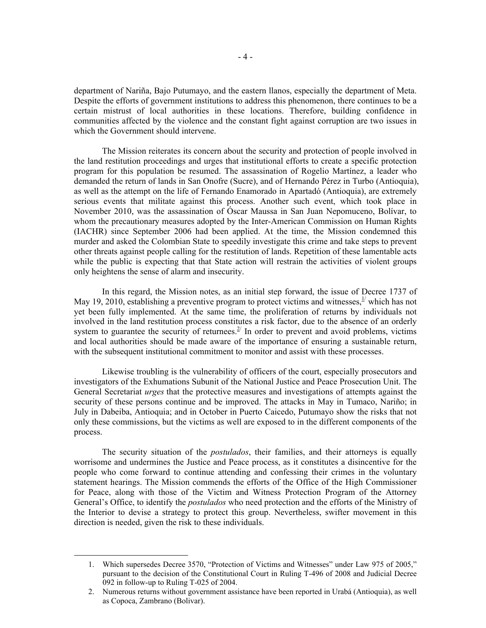department of Nariña, Bajo Putumayo, and the eastern llanos, especially the department of Meta. Despite the efforts of government institutions to address this phenomenon, there continues to be a certain mistrust of local authorities in these locations. Therefore, building confidence in communities affected by the violence and the constant fight against corruption are two issues in which the Government should intervene.

The Mission reiterates its concern about the security and protection of people involved in the land restitution proceedings and urges that institutional efforts to create a specific protection program for this population be resumed. The assassination of Rogelio Martínez, a leader who demanded the return of lands in San Onofre (Sucre), and of Hernando Pérez in Turbo (Antioquia), as well as the attempt on the life of Fernando Enamorado in Apartadó (Antioquia), are extremely serious events that militate against this process. Another such event, which took place in November 2010, was the assassination of Óscar Maussa in San Juan Nepomuceno, Bolívar, to whom the precautionary measures adopted by the Inter-American Commission on Human Rights (IACHR) since September 2006 had been applied. At the time, the Mission condemned this murder and asked the Colombian State to speedily investigate this crime and take steps to prevent other threats against people calling for the restitution of lands. Repetition of these lamentable acts while the public is expecting that that State action will restrain the activities of violent groups only heightens the sense of alarm and insecurity.

In this regard, the Mission notes, as an initial step forward, the issue of Decree 1737 of May 19, 2010, establishing a preventive program to protect victims and witnesses,  $\frac{1}{2}$  which has not yet been fully implemented. At the same time, the proliferation of returns by individuals not involved in the land restitution process constitutes a risk factor, due to the absence of an orderly system to guarantee the security of returnees.<sup>2/</sup> In order to prevent and avoid problems, victims and local authorities should be made aware of the importance of ensuring a sustainable return, with the subsequent institutional commitment to monitor and assist with these processes.

Likewise troubling is the vulnerability of officers of the court, especially prosecutors and investigators of the Exhumations Subunit of the National Justice and Peace Prosecution Unit. The General Secretariat *urges* that the protective measures and investigations of attempts against the security of these persons continue and be improved. The attacks in May in Tumaco, Nariño; in July in Dabeiba, Antioquia; and in October in Puerto Caicedo, Putumayo show the risks that not only these commissions, but the victims as well are exposed to in the different components of the process.

The security situation of the *postulados*, their families, and their attorneys is equally worrisome and undermines the Justice and Peace process, as it constitutes a disincentive for the people who come forward to continue attending and confessing their crimes in the voluntary statement hearings. The Mission commends the efforts of the Office of the High Commissioner for Peace, along with those of the Victim and Witness Protection Program of the Attorney General's Office, to identify the *postulados* who need protection and the efforts of the Ministry of the Interior to devise a strategy to protect this group. Nevertheless, swifter movement in this direction is needed, given the risk to these individuals.

 <sup>1.</sup> Which supersedes Decree 3570, "Protection of Victims and Witnesses" under Law 975 of 2005," pursuant to the decision of the Constitutional Court in Ruling T-496 of 2008 and Judicial Decree 092 in follow-up to Ruling T-025 of 2004.

<sup>2.</sup> Numerous returns without government assistance have been reported in Urabá (Antioquia), as well as Copoca, Zambrano (Bolivar).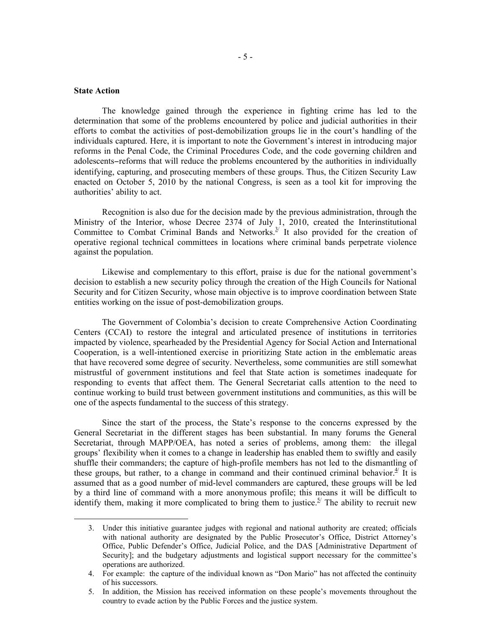## **State Action**

The knowledge gained through the experience in fighting crime has led to the determination that some of the problems encountered by police and judicial authorities in their efforts to combat the activities of post-demobilization groups lie in the court's handling of the individuals captured. Here, it is important to note the Government's interest in introducing major reforms in the Penal Code, the Criminal Procedures Code, and the code governing children and adolescents−reforms that will reduce the problems encountered by the authorities in individually identifying, capturing, and prosecuting members of these groups. Thus, the Citizen Security Law enacted on October 5, 2010 by the national Congress, is seen as a tool kit for improving the authorities' ability to act.

Recognition is also due for the decision made by the previous administration, through the Ministry of the Interior, whose Decree 2374 of July 1, 2010, created the Interinstitutional Committee to Combat Criminal Bands and Networks.<sup>3/</sup> It also provided for the creation of operative regional technical committees in locations where criminal bands perpetrate violence against the population.

Likewise and complementary to this effort, praise is due for the national government's decision to establish a new security policy through the creation of the High Councils for National Security and for Citizen Security, whose main objective is to improve coordination between State entities working on the issue of post-demobilization groups.

The Government of Colombia's decision to create Comprehensive Action Coordinating Centers (CCAI) to restore the integral and articulated presence of institutions in territories impacted by violence, spearheaded by the Presidential Agency for Social Action and International Cooperation, is a well-intentioned exercise in prioritizing State action in the emblematic areas that have recovered some degree of security. Nevertheless, some communities are still somewhat mistrustful of government institutions and feel that State action is sometimes inadequate for responding to events that affect them. The General Secretariat calls attention to the need to continue working to build trust between government institutions and communities, as this will be one of the aspects fundamental to the success of this strategy.

Since the start of the process, the State's response to the concerns expressed by the General Secretariat in the different stages has been substantial. In many forums the General Secretariat, through MAPP/OEA, has noted a series of problems, among them: the illegal groups' flexibility when it comes to a change in leadership has enabled them to swiftly and easily shuffle their commanders; the capture of high-profile members has not led to the dismantling of these groups, but rather, to a change in command and their continued criminal behavior.<sup> $4/$ </sup> It is assumed that as a good number of mid-level commanders are captured, these groups will be led by a third line of command with a more anonymous profile; this means it will be difficult to identify them, making it more complicated to bring them to justice.<sup>5/</sup> The ability to recruit new

 <sup>3.</sup> Under this initiative guarantee judges with regional and national authority are created; officials with national authority are designated by the Public Prosecutor's Office, District Attorney's Office, Public Defender's Office, Judicial Police, and the DAS [Administrative Department of Security]; and the budgetary adjustments and logistical support necessary for the committee's operations are authorized.

<sup>4.</sup> For example: the capture of the individual known as "Don Mario" has not affected the continuity of his successors.

<sup>5.</sup> In addition, the Mission has received information on these people's movements throughout the country to evade action by the Public Forces and the justice system.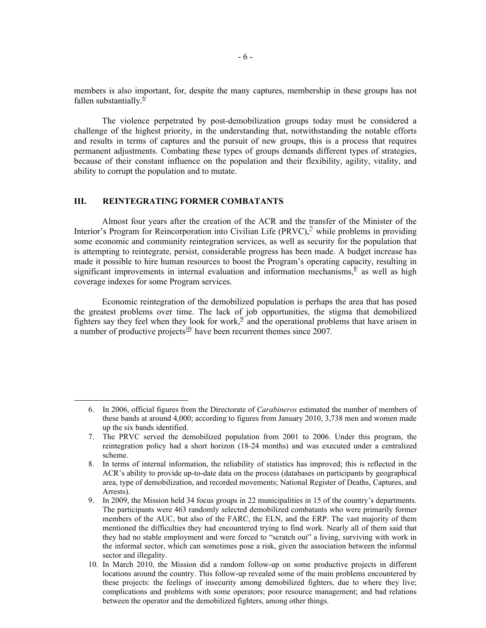members is also important, for, despite the many captures, membership in these groups has not fallen substantially. $\frac{6}{5}$ 

The violence perpetrated by post-demobilization groups today must be considered a challenge of the highest priority, in the understanding that, notwithstanding the notable efforts and results in terms of captures and the pursuit of new groups, this is a process that requires permanent adjustments. Combating these types of groups demands different types of strategies, because of their constant influence on the population and their flexibility, agility, vitality, and ability to corrupt the population and to mutate.

# **III. REINTEGRATING FORMER COMBATANTS**

Almost four years after the creation of the ACR and the transfer of the Minister of the Interior's Program for Reincorporation into Civilian Life (PRVC), $\frac{\pi}{2}$  while problems in providing some economic and community reintegration services, as well as security for the population that is attempting to reintegrate, persist, considerable progress has been made. A budget increase has made it possible to hire human resources to boost the Program's operating capacity, resulting in significant improvements in internal evaluation and information mechanisms,  $\frac{8}{3}$  as well as high coverage indexes for some Program services.

Economic reintegration of the demobilized population is perhaps the area that has posed the greatest problems over time. The lack of job opportunities, the stigma that demobilized fighters say they feel when they look for work,  $\frac{9}{2}$  and the operational problems that have arisen in a number of productive projects $10$ <sup>t</sup> have been recurrent themes since 2007.

 <sup>6.</sup> In 2006, official figures from the Directorate of *Carabineros* estimated the number of members of these bands at around 4,000; according to figures from January 2010, 3,738 men and women made up the six bands identified.

<sup>7.</sup> The PRVC served the demobilized population from 2001 to 2006. Under this program, the reintegration policy had a short horizon (18-24 months) and was executed under a centralized scheme.

<sup>8.</sup> In terms of internal information, the reliability of statistics has improved; this is reflected in the ACR's ability to provide up-to-date data on the process (databases on participants by geographical area, type of demobilization, and recorded movements; National Register of Deaths, Captures, and Arrests).

<sup>9.</sup> In 2009, the Mission held 34 focus groups in 22 municipalities in 15 of the country's departments. The participants were 463 randomly selected demobilized combatants who were primarily former members of the AUC, but also of the FARC, the ELN, and the ERP. The vast majority of them mentioned the difficulties they had encountered trying to find work. Nearly all of them said that they had no stable employment and were forced to "scratch out" a living, surviving with work in the informal sector, which can sometimes pose a risk, given the association between the informal sector and illegality.

<sup>10.</sup> In March 2010, the Mission did a random follow-up on some productive projects in different locations around the country. This follow-up revealed some of the main problems encountered by these projects: the feelings of insecurity among demobilized fighters, due to where they live; complications and problems with some operators; poor resource management; and bad relations between the operator and the demobilized fighters, among other things.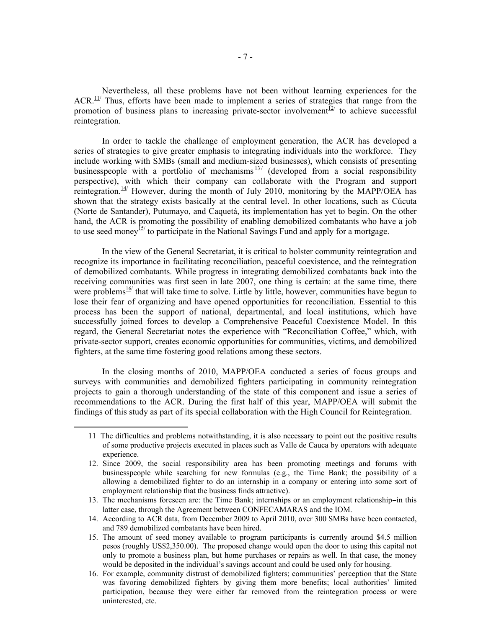Nevertheless, all these problems have not been without learning experiences for the  $ACR$ <sup>11/</sup> Thus, efforts have been made to implement a series of strategies that range from the promotion of business plans to increasing private-sector involvement $\frac{z}{2}$  to achieve successful reintegration.

In order to tackle the challenge of employment generation, the ACR has developed a series of strategies to give greater emphasis to integrating individuals into the workforce. They include working with SMBs (small and medium-sized businesses), which consists of presenting businesspeople with a portfolio of mechanisms  $\frac{13}{12}$  (developed from a social responsibility perspective), with which their company can collaborate with the Program and support reintegration.<sup>14/</sup> However, during the month of July 2010, monitoring by the MAPP/OEA has shown that the strategy exists basically at the central level. In other locations, such as Cúcuta (Norte de Santander), Putumayo, and Caquetá, its implementation has yet to begin. On the other hand, the ACR is promoting the possibility of enabling demobilized combatants who have a job to use seed money  $\frac{15}{2}$  to participate in the National Savings Fund and apply for a mortgage.

In the view of the General Secretariat, it is critical to bolster community reintegration and recognize its importance in facilitating reconciliation, peaceful coexistence, and the reintegration of demobilized combatants. While progress in integrating demobilized combatants back into the receiving communities was first seen in late 2007, one thing is certain: at the same time, there were problems<sup>16</sup> that will take time to solve. Little by little, however, communities have begun to lose their fear of organizing and have opened opportunities for reconciliation. Essential to this process has been the support of national, departmental, and local institutions, which have successfully joined forces to develop a Comprehensive Peaceful Coexistence Model. In this regard, the General Secretariat notes the experience with "Reconciliation Coffee," which, with private-sector support, creates economic opportunities for communities, victims, and demobilized fighters, at the same time fostering good relations among these sectors.

In the closing months of 2010, MAPP/OEA conducted a series of focus groups and surveys with communities and demobilized fighters participating in community reintegration projects to gain a thorough understanding of the state of this component and issue a series of recommendations to the ACR. During the first half of this year, MAPP/OEA will submit the findings of this study as part of its special collaboration with the High Council for Reintegration.

 <sup>11</sup> The difficulties and problems notwithstanding, it is also necessary to point out the positive results of some productive projects executed in places such as Valle de Cauca by operators with adequate experience.

<sup>12.</sup> Since 2009, the social responsibility area has been promoting meetings and forums with businesspeople while searching for new formulas (e.g., the Time Bank; the possibility of a allowing a demobilized fighter to do an internship in a company or entering into some sort of employment relationship that the business finds attractive).

<sup>13.</sup> The mechanisms foreseen are: the Time Bank; internships or an employment relationship−in this latter case, through the Agreement between CONFECAMARAS and the IOM.

<sup>14.</sup> According to ACR data, from December 2009 to April 2010, over 300 SMBs have been contacted, and 789 demobilized combatants have been hired.

<sup>15.</sup> The amount of seed money available to program participants is currently around \$4.5 million pesos (roughly US\$2,350.00). The proposed change would open the door to using this capital not only to promote a business plan, but home purchases or repairs as well. In that case, the money would be deposited in the individual's savings account and could be used only for housing.

<sup>16.</sup> For example, community distrust of demobilized fighters; communities' perception that the State was favoring demobilized fighters by giving them more benefits; local authorities' limited participation, because they were either far removed from the reintegration process or were uninterested, etc.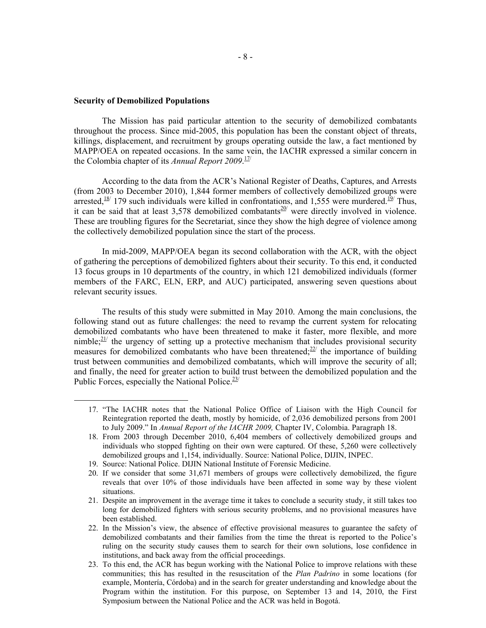## **Security of Demobilized Populations**

The Mission has paid particular attention to the security of demobilized combatants throughout the process. Since mid-2005, this population has been the constant object of threats, killings, displacement, and recruitment by groups operating outside the law, a fact mentioned by MAPP/OEA on repeated occasions. In the same vein, the IACHR expressed a similar concern in the Colombia chapter of its *Annual Report 2009*.<sup>11/</sup>

According to the data from the ACR's National Register of Deaths, Captures, and Arrests (from 2003 to December 2010), 1,844 former members of collectively demobilized groups were arrested,  $\frac{18}{12}$  179 such individuals were killed in confrontations, and 1,555 were murdered.  $\frac{19}{2}$  Thus, it can be said that at least 3,578 demobilized combatants<sup>20</sup> were directly involved in violence. These are troubling figures for the Secretariat, since they show the high degree of violence among the collectively demobilized population since the start of the process.

In mid-2009, MAPP/OEA began its second collaboration with the ACR, with the object of gathering the perceptions of demobilized fighters about their security. To this end, it conducted 13 focus groups in 10 departments of the country, in which 121 demobilized individuals (former members of the FARC, ELN, ERP, and AUC) participated, answering seven questions about relevant security issues.

The results of this study were submitted in May 2010. Among the main conclusions, the following stand out as future challenges: the need to revamp the current system for relocating demobilized combatants who have been threatened to make it faster, more flexible, and more nimble; $2^{21}$  the urgency of setting up a protective mechanism that includes provisional security measures for demobilized combatants who have been threatened; $^{22}$  the importance of building trust between communities and demobilized combatants, which will improve the security of all; and finally, the need for greater action to build trust between the demobilized population and the Public Forces, especially the National Police. $23/2$ 

 <sup>17.</sup> "The IACHR notes that the National Police Office of Liaison with the High Council for Reintegration reported the death, mostly by homicide, of 2,036 demobilized persons from 2001 to July 2009." In *Annual Report of the IACHR 2009,* Chapter IV, Colombia. Paragraph 18.

<sup>18.</sup> From 2003 through December 2010, 6,404 members of collectively demobilized groups and individuals who stopped fighting on their own were captured. Of these, 5,260 were collectively demobilized groups and 1,154, individually. Source: National Police, DIJIN, INPEC.

<sup>19.</sup> Source: National Police. DIJIN National Institute of Forensic Medicine.

<sup>20.</sup> If we consider that some 31,671 members of groups were collectively demobilized, the figure reveals that over 10% of those individuals have been affected in some way by these violent situations.

<sup>21.</sup> Despite an improvement in the average time it takes to conclude a security study, it still takes too long for demobilized fighters with serious security problems, and no provisional measures have been established.

<sup>22.</sup> In the Mission's view, the absence of effective provisional measures to guarantee the safety of demobilized combatants and their families from the time the threat is reported to the Police's ruling on the security study causes them to search for their own solutions, lose confidence in institutions, and back away from the official proceedings.

<sup>23.</sup> To this end, the ACR has begun working with the National Police to improve relations with these communities; this has resulted in the resuscitation of the *Plan Padrino* in some locations (for example, Montería, Córdoba) and in the search for greater understanding and knowledge about the Program within the institution. For this purpose, on September 13 and 14, 2010, the First Symposium between the National Police and the ACR was held in Bogotá.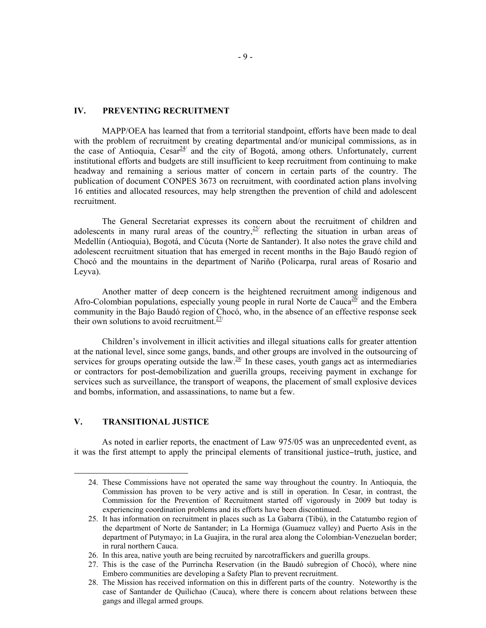## **IV. PREVENTING RECRUITMENT**

MAPP/OEA has learned that from a territorial standpoint, efforts have been made to deal with the problem of recruitment by creating departmental and/or municipal commissions, as in the case of Antioquia,  $Cesar^{24/2}$  and the city of Bogotá, among others. Unfortunately, current institutional efforts and budgets are still insufficient to keep recruitment from continuing to make headway and remaining a serious matter of concern in certain parts of the country. The publication of document CONPES 3673 on recruitment, with coordinated action plans involving 16 entities and allocated resources, may help strengthen the prevention of child and adolescent recruitment.

The General Secretariat expresses its concern about the recruitment of children and adolescents in many rural areas of the country,  $\frac{25}{1}$  reflecting the situation in urban areas of Medellín (Antioquia), Bogotá, and Cúcuta (Norte de Santander). It also notes the grave child and adolescent recruitment situation that has emerged in recent months in the Bajo Baudó region of Chocó and the mountains in the department of Nariño (Policarpa, rural areas of Rosario and Leyva).

Another matter of deep concern is the heightened recruitment among indigenous and Afro-Colombian populations, especially young people in rural Norte de Cauca<sup>26</sup> and the Embera community in the Bajo Baudó region of Chocó, who, in the absence of an effective response seek their own solutions to avoid recruitment. $27/$ 

Children's involvement in illicit activities and illegal situations calls for greater attention at the national level, since some gangs, bands, and other groups are involved in the outsourcing of services for groups operating outside the law. $28/$  In these cases, youth gangs act as intermediaries or contractors for post-demobilization and guerilla groups, receiving payment in exchange for services such as surveillance, the transport of weapons, the placement of small explosive devices and bombs, information, and assassinations, to name but a few.

# **V. TRANSITIONAL JUSTICE**

As noted in earlier reports, the enactment of Law 975/05 was an unprecedented event, as it was the first attempt to apply the principal elements of transitional justice−truth, justice, and

 <sup>24.</sup> These Commissions have not operated the same way throughout the country. In Antioquia, the Commission has proven to be very active and is still in operation. In Cesar, in contrast, the Commission for the Prevention of Recruitment started off vigorously in 2009 but today is experiencing coordination problems and its efforts have been discontinued.

<sup>25.</sup> It has information on recruitment in places such as La Gabarra (Tibú), in the Catatumbo region of the department of Norte de Santander; in La Hormiga (Guamuez valley) and Puerto Asís in the department of Putymayo; in La Guajira, in the rural area along the Colombian-Venezuelan border; in rural northern Cauca.

<sup>26.</sup> In this area, native youth are being recruited by narcotraffickers and guerilla groups.

<sup>27.</sup> This is the case of the Purrincha Reservation (in the Baudó subregion of Chocó), where nine Embero communities are developing a Safety Plan to prevent recruitment.

<sup>28.</sup> The Mission has received information on this in different parts of the country. Noteworthy is the case of Santander de Quilichao (Cauca), where there is concern about relations between these gangs and illegal armed groups.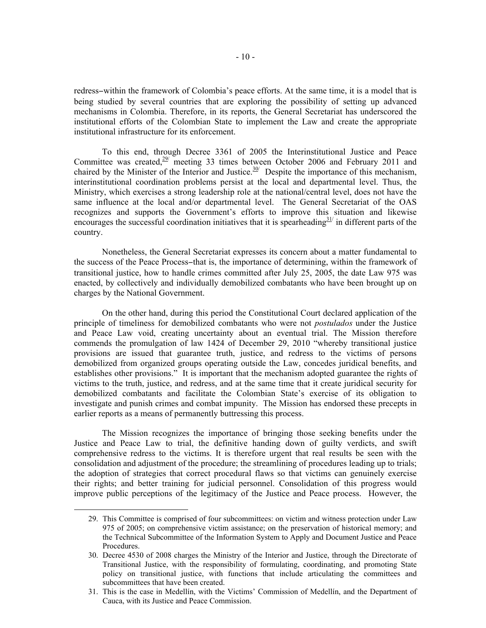redress−within the framework of Colombia's peace efforts. At the same time, it is a model that is being studied by several countries that are exploring the possibility of setting up advanced mechanisms in Colombia. Therefore, in its reports, the General Secretariat has underscored the institutional efforts of the Colombian State to implement the Law and create the appropriate institutional infrastructure for its enforcement.

To this end, through Decree 3361 of 2005 the Interinstitutional Justice and Peace Committee was created, $29$  meeting 33 times between October 2006 and February 2011 and chaired by the Minister of the Interior and Justice.<sup>30/</sup> Despite the importance of this mechanism, interinstitutional coordination problems persist at the local and departmental level. Thus, the Ministry, which exercises a strong leadership role at the national/central level, does not have the same influence at the local and/or departmental level. The General Secretariat of the OAS recognizes and supports the Government's efforts to improve this situation and likewise encourages the successful coordination initiatives that it is spearheading  $\frac{31}{1}$  in different parts of the country.

Nonetheless, the General Secretariat expresses its concern about a matter fundamental to the success of the Peace Process−that is, the importance of determining, within the framework of transitional justice, how to handle crimes committed after July 25, 2005, the date Law 975 was enacted, by collectively and individually demobilized combatants who have been brought up on charges by the National Government.

On the other hand, during this period the Constitutional Court declared application of the principle of timeliness for demobilized combatants who were not *postulados* under the Justice and Peace Law void, creating uncertainty about an eventual trial. The Mission therefore commends the promulgation of law 1424 of December 29, 2010 "whereby transitional justice provisions are issued that guarantee truth, justice, and redress to the victims of persons demobilized from organized groups operating outside the Law, concedes juridical benefits, and establishes other provisions." It is important that the mechanism adopted guarantee the rights of victims to the truth, justice, and redress, and at the same time that it create juridical security for demobilized combatants and facilitate the Colombian State's exercise of its obligation to investigate and punish crimes and combat impunity. The Mission has endorsed these precepts in earlier reports as a means of permanently buttressing this process.

The Mission recognizes the importance of bringing those seeking benefits under the Justice and Peace Law to trial, the definitive handing down of guilty verdicts, and swift comprehensive redress to the victims. It is therefore urgent that real results be seen with the consolidation and adjustment of the procedure; the streamlining of procedures leading up to trials; the adoption of strategies that correct procedural flaws so that victims can genuinely exercise their rights; and better training for judicial personnel. Consolidation of this progress would improve public perceptions of the legitimacy of the Justice and Peace process. However, the

 <sup>29.</sup> This Committee is comprised of four subcommittees: on victim and witness protection under Law 975 of 2005; on comprehensive victim assistance; on the preservation of historical memory; and the Technical Subcommittee of the Information System to Apply and Document Justice and Peace Procedures.

<sup>30.</sup> Decree 4530 of 2008 charges the Ministry of the Interior and Justice, through the Directorate of Transitional Justice, with the responsibility of formulating, coordinating, and promoting State policy on transitional justice, with functions that include articulating the committees and subcommittees that have been created.

<sup>31.</sup> This is the case in Medellín, with the Victims' Commission of Medellín, and the Department of Cauca, with its Justice and Peace Commission.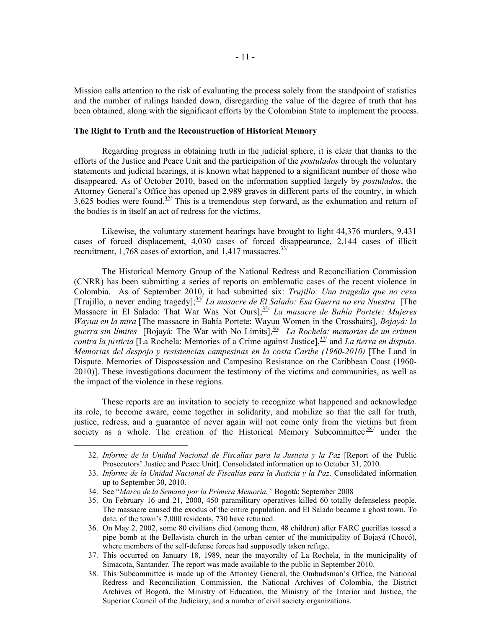Mission calls attention to the risk of evaluating the process solely from the standpoint of statistics and the number of rulings handed down, disregarding the value of the degree of truth that has been obtained, along with the significant efforts by the Colombian State to implement the process.

## **The Right to Truth and the Reconstruction of Historical Memory**

Regarding progress in obtaining truth in the judicial sphere, it is clear that thanks to the efforts of the Justice and Peace Unit and the participation of the *postulados* through the voluntary statements and judicial hearings, it is known what happened to a significant number of those who disappeared. As of October 2010, based on the information supplied largely by *postulados*, the Attorney General's Office has opened up 2,989 graves in different parts of the country, in which 3,625 bodies were found.<sup>32/</sup> This is a tremendous step forward, as the exhumation and return of the bodies is in itself an act of redress for the victims.

Likewise, the voluntary statement hearings have brought to light 44,376 murders, 9,431 cases of forced displacement, 4,030 cases of forced disappearance, 2,144 cases of illicit recruitment, 1,768 cases of extortion, and 1,417 massacres. $\frac{33}{1}$ 

The Historical Memory Group of the National Redress and Reconciliation Commission (CNRR) has been submitting a series of reports on emblematic cases of the recent violence in Colombia. As of September 2010, it had submitted six: *Trujillo: Una tragedia que no cesa* [Trujillo, a never ending tragedy]; 34/ *La masacre de El Salado: Esa Guerra no era Nuestra* [The Massacre in El Salado: That War Was Not Ours];<sup>35/</sup> *La masacre de Bahía Portete: Mujeres Wayuu en la mira* [The massacre in Bahía Portete: Wayuu Women in the Crosshairs], *Bojayá: la*  guerra sin límites [Bojayá: The War with No Limits],<sup>36/</sup> La Rochela: memorias de un crimen contra la justicia [La Rochela: Memories of a Crime against Justice], <sup>37/</sup> and *La tierra en disputa*. *Memorias del despojo y resistencias campesinas en la costa Caribe (1960-2010)* [The Land in Dispute. Memories of Dispossession and Campesino Resistance on the Caribbean Coast (1960- 2010)]. These investigations document the testimony of the victims and communities, as well as the impact of the violence in these regions.

These reports are an invitation to society to recognize what happened and acknowledge its role, to become aware, come together in solidarity, and mobilize so that the call for truth, justice, redress, and a guarantee of never again will not come only from the victims but from society as a whole. The creation of the Historical Memory Subcommittee  $\frac{38}{1}$  under the

 <sup>32.</sup> *Informe de la Unidad Nacional de Fiscalías para la Justicia y la Paz* [Report of the Public Prosecutors' Justice and Peace Unit]. Consolidated information up to October 31, 2010.

<sup>33.</sup> *Informe de la Unidad Nacional de Fiscalías para la Justicia y la Paz*. Consolidated information up to September 30, 2010.

<sup>34.</sup> See "*Marco de la Semana por la Primera Memoria."* Bogotá: September 2008

<sup>35.</sup> On February 16 and 21, 2000, 450 paramilitary operatives killed 60 totally defenseless people. The massacre caused the exodus of the entire population, and El Salado became a ghost town. To date, of the town's 7,000 residents, 730 have returned.

<sup>36.</sup> On May 2, 2002, some 80 civilians died (among them, 48 children) after FARC guerillas tossed a pipe bomb at the Bellavista church in the urban center of the municipality of Bojayá (Chocó), where members of the self-defense forces had supposedly taken refuge.

<sup>37.</sup> This occurred on January 18, 1989, near the mayoralty of La Rochela, in the municipality of Simacota, Santander. The report was made available to the public in September 2010.

<sup>38.</sup> This Subcommittee is made up of the Attorney General, the Ombudsman's Office, the National Redress and Reconciliation Commission, the National Archives of Colombia, the District Archives of Bogotá, the Ministry of Education, the Ministry of the Interior and Justice, the Superior Council of the Judiciary, and a number of civil society organizations.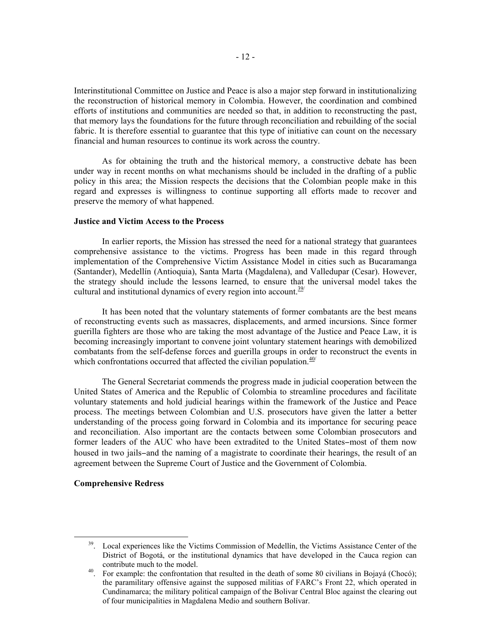Interinstitutional Committee on Justice and Peace is also a major step forward in institutionalizing the reconstruction of historical memory in Colombia. However, the coordination and combined efforts of institutions and communities are needed so that, in addition to reconstructing the past, that memory lays the foundations for the future through reconciliation and rebuilding of the social fabric. It is therefore essential to guarantee that this type of initiative can count on the necessary financial and human resources to continue its work across the country.

As for obtaining the truth and the historical memory, a constructive debate has been under way in recent months on what mechanisms should be included in the drafting of a public policy in this area; the Mission respects the decisions that the Colombian people make in this regard and expresses is willingness to continue supporting all efforts made to recover and preserve the memory of what happened.

### **Justice and Victim Access to the Process**

In earlier reports, the Mission has stressed the need for a national strategy that guarantees comprehensive assistance to the victims. Progress has been made in this regard through implementation of the Comprehensive Victim Assistance Model in cities such as Bucaramanga (Santander), Medellín (Antioquia), Santa Marta (Magdalena), and Valledupar (Cesar). However, the strategy should include the lessons learned, to ensure that the universal model takes the cultural and institutional dynamics of every region into account.<sup>39/</sup>

It has been noted that the voluntary statements of former combatants are the best means of reconstructing events such as massacres, displacements, and armed incursions. Since former guerilla fighters are those who are taking the most advantage of the Justice and Peace Law, it is becoming increasingly important to convene joint voluntary statement hearings with demobilized combatants from the self-defense forces and guerilla groups in order to reconstruct the events in which confrontations occurred that affected the civilian population. $\frac{40}{ }$ 

The General Secretariat commends the progress made in judicial cooperation between the United States of America and the Republic of Colombia to streamline procedures and facilitate voluntary statements and hold judicial hearings within the framework of the Justice and Peace process. The meetings between Colombian and U.S. prosecutors have given the latter a better understanding of the process going forward in Colombia and its importance for securing peace and reconciliation. Also important are the contacts between some Colombian prosecutors and former leaders of the AUC who have been extradited to the United States−most of them now housed in two jails−and the naming of a magistrate to coordinate their hearings, the result of an agreement between the Supreme Court of Justice and the Government of Colombia.

### **Comprehensive Redress**

<sup>&</sup>lt;sup>39</sup>. Local experiences like the Victims Commission of Medellín, the Victims Assistance Center of the District of Bogotá, or the institutional dynamics that have developed in the Cauca region can contribute much to the model.<br><sup>40</sup>. For example: the confrontation that resulted in the death of some 80 civilians in Bojayá (Chocó);

the paramilitary offensive against the supposed militias of FARC's Front 22, which operated in Cundinamarca; the military political campaign of the Bolivar Central Bloc against the clearing out of four municipalities in Magdalena Medio and southern Bolívar.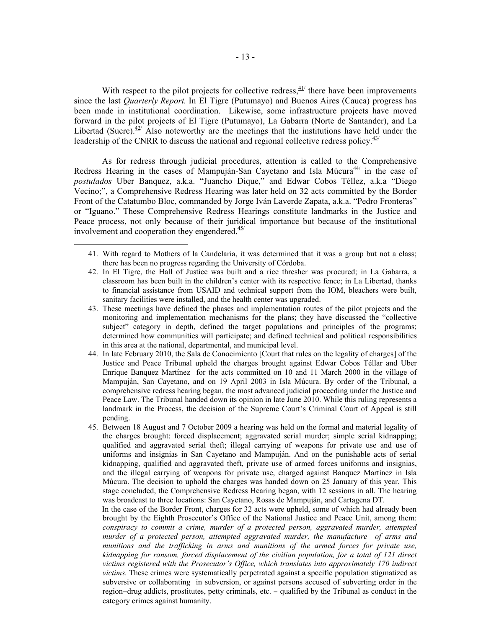With respect to the pilot projects for collective redress, $41/2$  there have been improvements since the last *Quarterly Report.* In El Tigre (Putumayo) and Buenos Aires (Cauca) progress has been made in institutional coordination. Likewise, some infrastructure projects have moved forward in the pilot projects of El Tigre (Putumayo), La Gabarra (Norte de Santander), and La Libertad (Sucre). $42$ <sup>t</sup> Also noteworthy are the meetings that the institutions have held under the leadership of the CNRR to discuss the national and regional collective redress policy.  $43/$ 

As for redress through judicial procedures, attention is called to the Comprehensive Redress Hearing in the cases of Mampuján-San Cayetano and Isla Múcura<sup>44/</sup> in the case of *postulados* Uber Banquez, a.k.a. "Juancho Dique," and Edwar Cobos Téllez, a.k.a "Diego Vecino;", a Comprehensive Redress Hearing was later held on 32 acts committed by the Border Front of the Catatumbo Bloc, commanded by Jorge Iván Laverde Zapata, a.k.a. "Pedro Fronteras" or "Iguano." These Comprehensive Redress Hearings constitute landmarks in the Justice and Peace process, not only because of their juridical importance but because of the institutional involvement and cooperation they engendered. $45/$ 

- 42. In El Tigre, the Hall of Justice was built and a rice thresher was procured; in La Gabarra, a classroom has been built in the children's center with its respective fence; in La Libertad, thanks to financial assistance from USAID and technical support from the IOM, bleachers were built, sanitary facilities were installed, and the health center was upgraded.
- 43. These meetings have defined the phases and implementation routes of the pilot projects and the monitoring and implementation mechanisms for the plans; they have discussed the "collective subject" category in depth, defined the target populations and principles of the programs; determined how communities will participate; and defined technical and political responsibilities in this area at the national, departmental, and municipal level.
- 44. In late February 2010, the Sala de Conocimiento [Court that rules on the legality of charges] of the Justice and Peace Tribunal upheld the charges brought against Edwar Cobos Téllar and Uber Enrique Banquez Martínez for the acts committed on 10 and 11 March 2000 in the village of Mampuján, San Cayetano, and on 19 April 2003 in Isla Múcura. By order of the Tribunal, a comprehensive redress hearing began, the most advanced judicial proceeding under the Justice and Peace Law. The Tribunal handed down its opinion in late June 2010. While this ruling represents a landmark in the Process, the decision of the Supreme Court's Criminal Court of Appeal is still pending.
- 45. Between 18 August and 7 October 2009 a hearing was held on the formal and material legality of the charges brought: forced displacement; aggravated serial murder; simple serial kidnapping; qualified and aggravated serial theft; illegal carrying of weapons for private use and use of uniforms and insignias in San Cayetano and Mampuján. And on the punishable acts of serial kidnapping, qualified and aggravated theft, private use of armed forces uniforms and insignias, and the illegal carrying of weapons for private use, charged against Banquez Martínez in Isla Múcura. The decision to uphold the charges was handed down on 25 January of this year. This stage concluded, the Comprehensive Redress Hearing began, with 12 sessions in all. The hearing was broadcast to three locations: San Cayetano, Rosas de Mampuján, and Cartagena DT.

In the case of the Border Front, charges for 32 acts were upheld, some of which had already been brought by the Eighth Prosecutor's Office of the National Justice and Peace Unit, among them: *conspiracy to commit a crime, murder of a protected person, aggravated murder, attempted murder of a protected person, attempted aggravated murder, the manufacture of arms and munitions and the trafficking in arms and munitions of the armed forces for private use, kidnapping for ransom, forced displacement of the civilian population, for a total of 121 direct victims registered with the Prosecutor's Office, which translates into approximately 170 indirect victims.* These crimes were systematically perpetrated against a specific population stigmatized as subversive or collaborating in subversion, or against persons accused of subverting order in the region−drug addicts, prostitutes, petty criminals, etc. − qualified by the Tribunal as conduct in the category crimes against humanity.

 <sup>41.</sup> With regard to Mothers of la Candelaria, it was determined that it was a group but not a class; there has been no progress regarding the University of Córdoba.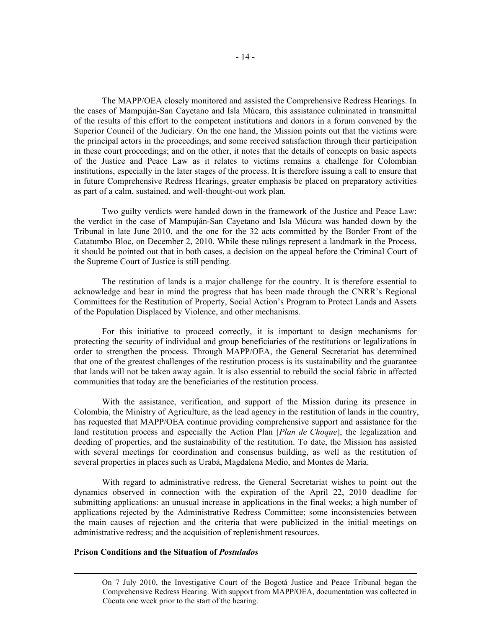The MAPP/OEA closely monitored and assisted the Comprehensive Redress Hearings. In the cases of Mampuján-San Cayetano and Isla Múcara, this assistance culminated in transmittal of the results of this effort to the competent institutions and donors in a forum convened by the Superior Council of the Judiciary. On the one hand, the Mission points out that the victims were the principal actors in the proceedings, and some received satisfaction through their participation in these court proceedings; and on the other, it notes that the details of concepts on basic aspects of the Justice and Peace Law as it relates to victims remains a challenge for Colombian institutions, especially in the later stages of the process. It is therefore issuing a call to ensure that in future Comprehensive Redress Hearings, greater emphasis be placed on preparatory activities as part of a calm, sustained, and well-thought-out work plan.

Two guilty verdicts were handed down in the framework of the Justice and Peace Law: the verdict in the case of Mampuján-San Cayetano and Isla Múcura was handed down by the Tribunal in late June 2010, and the one for the 32 acts committed by the Border Front of the Catatumbo Bloc, on December 2, 2010. While these rulings represent a landmark in the Process, it should be pointed out that in both cases, a decision on the appeal before the Criminal Court of the Supreme Court of Justice is still pending.

The restitution of lands is a major challenge for the country. It is therefore essential to acknowledge and bear in mind the progress that has been made through the CNRR's Regional Committees for the Restitution of Property, Social Action's Program to Protect Lands and Assets of the Population Displaced by Violence, and other mechanisms.

For this initiative to proceed correctly, it is important to design mechanisms for protecting the security of individual and group beneficiaries of the restitutions or legalizations in order to strengthen the process. Through MAPP/OEA, the General Secretariat has determined that one of the greatest challenges of the restitution process is its sustainability and the guarantee that lands will not be taken away again. It is also essential to rebuild the social fabric in affected communities that today are the beneficiaries of the restitution process.

With the assistance, verification, and support of the Mission during its presence in Colombia, the Ministry of Agriculture, as the lead agency in the restitution of lands in the country, has requested that MAPP/OEA continue providing comprehensive support and assistance for the land restitution process and especially the Action Plan [*Plan de Choque*], the legalization and deeding of properties, and the sustainability of the restitution. To date, the Mission has assisted with several meetings for coordination and consensus building, as well as the restitution of several properties in places such as Urabá, Magdalena Medio, and Montes de María.

With regard to administrative redress, the General Secretariat wishes to point out the dynamics observed in connection with the expiration of the April 22, 2010 deadline for submitting applications: an unusual increase in applications in the final weeks; a high number of applications rejected by the Administrative Redress Committee; some inconsistencies between the main causes of rejection and the criteria that were publicized in the initial meetings on administrative redress; and the acquisition of replenishment resources.

#### **Prison Conditions and the Situation of** *Postulados*

 On 7 July 2010, the Investigative Court of the Bogotá Justice and Peace Tribunal began the Comprehensive Redress Hearing. With support from MAPP/OEA, documentation was collected in Cúcuta one week prior to the start of the hearing.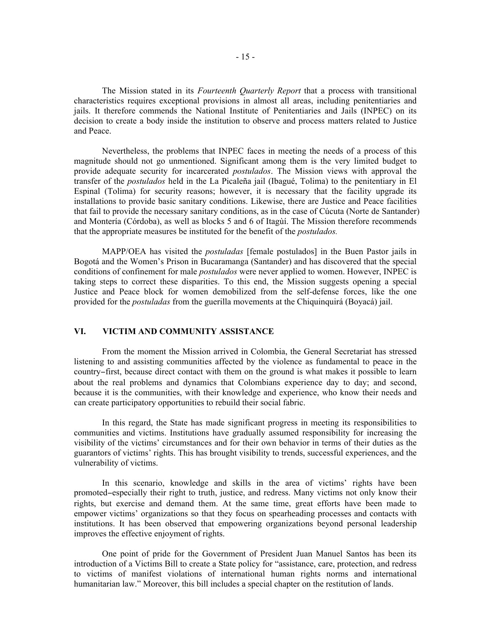The Mission stated in its *Fourteenth Quarterly Report* that a process with transitional characteristics requires exceptional provisions in almost all areas, including penitentiaries and jails. It therefore commends the National Institute of Penitentiaries and Jails (INPEC) on its decision to create a body inside the institution to observe and process matters related to Justice and Peace.

Nevertheless, the problems that INPEC faces in meeting the needs of a process of this magnitude should not go unmentioned. Significant among them is the very limited budget to provide adequate security for incarcerated *postulados*. The Mission views with approval the transfer of the *postulados* held in the La Picaleña jail (Ibagué, Tolima) to the penitentiary in El Espinal (Tolima) for security reasons; however, it is necessary that the facility upgrade its installations to provide basic sanitary conditions. Likewise, there are Justice and Peace facilities that fail to provide the necessary sanitary conditions, as in the case of Cúcuta (Norte de Santander) and Montería (Córdoba), as well as blocks 5 and 6 of Itagùí. The Mission therefore recommends that the appropriate measures be instituted for the benefit of the *postulados.*

MAPP/OEA has visited the *postuladas* [female postulados] in the Buen Pastor jails in Bogotá and the Women's Prison in Bucaramanga (Santander) and has discovered that the special conditions of confinement for male *postulados* were never applied to women. However, INPEC is taking steps to correct these disparities. To this end, the Mission suggests opening a special Justice and Peace block for women demobilized from the self-defense forces, like the one provided for the *postuladas* from the guerilla movements at the Chiquinquirá (Boyacá) jail.

# **VI. VICTIM AND COMMUNITY ASSISTANCE**

From the moment the Mission arrived in Colombia, the General Secretariat has stressed listening to and assisting communities affected by the violence as fundamental to peace in the country−first, because direct contact with them on the ground is what makes it possible to learn about the real problems and dynamics that Colombians experience day to day; and second, because it is the communities, with their knowledge and experience, who know their needs and can create participatory opportunities to rebuild their social fabric.

In this regard, the State has made significant progress in meeting its responsibilities to communities and victims. Institutions have gradually assumed responsibility for increasing the visibility of the victims' circumstances and for their own behavior in terms of their duties as the guarantors of victims' rights. This has brought visibility to trends, successful experiences, and the vulnerability of victims.

In this scenario, knowledge and skills in the area of victims' rights have been promoted−especially their right to truth, justice, and redress. Many victims not only know their rights, but exercise and demand them. At the same time, great efforts have been made to empower victims' organizations so that they focus on spearheading processes and contacts with institutions. It has been observed that empowering organizations beyond personal leadership improves the effective enjoyment of rights.

One point of pride for the Government of President Juan Manuel Santos has been its introduction of a Victims Bill to create a State policy for "assistance, care, protection, and redress to victims of manifest violations of international human rights norms and international humanitarian law." Moreover, this bill includes a special chapter on the restitution of lands.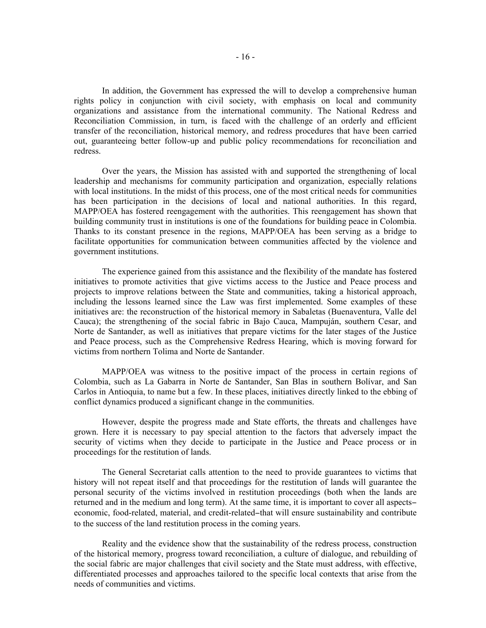In addition, the Government has expressed the will to develop a comprehensive human rights policy in conjunction with civil society, with emphasis on local and community organizations and assistance from the international community. The National Redress and Reconciliation Commission, in turn, is faced with the challenge of an orderly and efficient transfer of the reconciliation, historical memory, and redress procedures that have been carried out, guaranteeing better follow-up and public policy recommendations for reconciliation and redress.

Over the years, the Mission has assisted with and supported the strengthening of local leadership and mechanisms for community participation and organization, especially relations with local institutions. In the midst of this process, one of the most critical needs for communities has been participation in the decisions of local and national authorities. In this regard, MAPP/OEA has fostered reengagement with the authorities. This reengagement has shown that building community trust in institutions is one of the foundations for building peace in Colombia. Thanks to its constant presence in the regions, MAPP/OEA has been serving as a bridge to facilitate opportunities for communication between communities affected by the violence and government institutions.

The experience gained from this assistance and the flexibility of the mandate has fostered initiatives to promote activities that give victims access to the Justice and Peace process and projects to improve relations between the State and communities, taking a historical approach, including the lessons learned since the Law was first implemented. Some examples of these initiatives are: the reconstruction of the historical memory in Sabaletas (Buenaventura, Valle del Cauca); the strengthening of the social fabric in Bajo Cauca, Mampuján, southern Cesar, and Norte de Santander, as well as initiatives that prepare victims for the later stages of the Justice and Peace process, such as the Comprehensive Redress Hearing, which is moving forward for victims from northern Tolima and Norte de Santander.

MAPP/OEA was witness to the positive impact of the process in certain regions of Colombia, such as La Gabarra in Norte de Santander, San Blas in southern Bolívar, and San Carlos in Antioquia, to name but a few. In these places, initiatives directly linked to the ebbing of conflict dynamics produced a significant change in the communities.

However, despite the progress made and State efforts, the threats and challenges have grown. Here it is necessary to pay special attention to the factors that adversely impact the security of victims when they decide to participate in the Justice and Peace process or in proceedings for the restitution of lands.

The General Secretariat calls attention to the need to provide guarantees to victims that history will not repeat itself and that proceedings for the restitution of lands will guarantee the personal security of the victims involved in restitution proceedings (both when the lands are returned and in the medium and long term). At the same time, it is important to cover all aspects− economic, food-related, material, and credit-related−that will ensure sustainability and contribute to the success of the land restitution process in the coming years.

Reality and the evidence show that the sustainability of the redress process, construction of the historical memory, progress toward reconciliation, a culture of dialogue, and rebuilding of the social fabric are major challenges that civil society and the State must address, with effective, differentiated processes and approaches tailored to the specific local contexts that arise from the needs of communities and victims.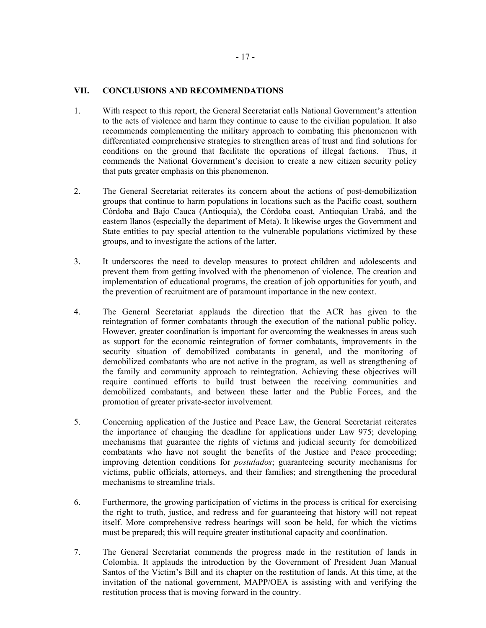# **VII. CONCLUSIONS AND RECOMMENDATIONS**

- 1. With respect to this report, the General Secretariat calls National Government's attention to the acts of violence and harm they continue to cause to the civilian population. It also recommends complementing the military approach to combating this phenomenon with differentiated comprehensive strategies to strengthen areas of trust and find solutions for conditions on the ground that facilitate the operations of illegal factions. Thus, it commends the National Government's decision to create a new citizen security policy that puts greater emphasis on this phenomenon.
- 2. The General Secretariat reiterates its concern about the actions of post-demobilization groups that continue to harm populations in locations such as the Pacific coast, southern Córdoba and Bajo Cauca (Antioquia), the Córdoba coast, Antioquian Urabá, and the eastern llanos (especially the department of Meta). It likewise urges the Government and State entities to pay special attention to the vulnerable populations victimized by these groups, and to investigate the actions of the latter.
- 3. It underscores the need to develop measures to protect children and adolescents and prevent them from getting involved with the phenomenon of violence. The creation and implementation of educational programs, the creation of job opportunities for youth, and the prevention of recruitment are of paramount importance in the new context.
- 4. The General Secretariat applauds the direction that the ACR has given to the reintegration of former combatants through the execution of the national public policy. However, greater coordination is important for overcoming the weaknesses in areas such as support for the economic reintegration of former combatants, improvements in the security situation of demobilized combatants in general, and the monitoring of demobilized combatants who are not active in the program, as well as strengthening of the family and community approach to reintegration. Achieving these objectives will require continued efforts to build trust between the receiving communities and demobilized combatants, and between these latter and the Public Forces, and the promotion of greater private-sector involvement.
- 5. Concerning application of the Justice and Peace Law, the General Secretariat reiterates the importance of changing the deadline for applications under Law 975; developing mechanisms that guarantee the rights of victims and judicial security for demobilized combatants who have not sought the benefits of the Justice and Peace proceeding; improving detention conditions for *postulados*; guaranteeing security mechanisms for victims, public officials, attorneys, and their families; and strengthening the procedural mechanisms to streamline trials.
- 6. Furthermore, the growing participation of victims in the process is critical for exercising the right to truth, justice, and redress and for guaranteeing that history will not repeat itself. More comprehensive redress hearings will soon be held, for which the victims must be prepared; this will require greater institutional capacity and coordination.
- 7. The General Secretariat commends the progress made in the restitution of lands in Colombia. It applauds the introduction by the Government of President Juan Manual Santos of the Victim's Bill and its chapter on the restitution of lands. At this time, at the invitation of the national government, MAPP/OEA is assisting with and verifying the restitution process that is moving forward in the country.